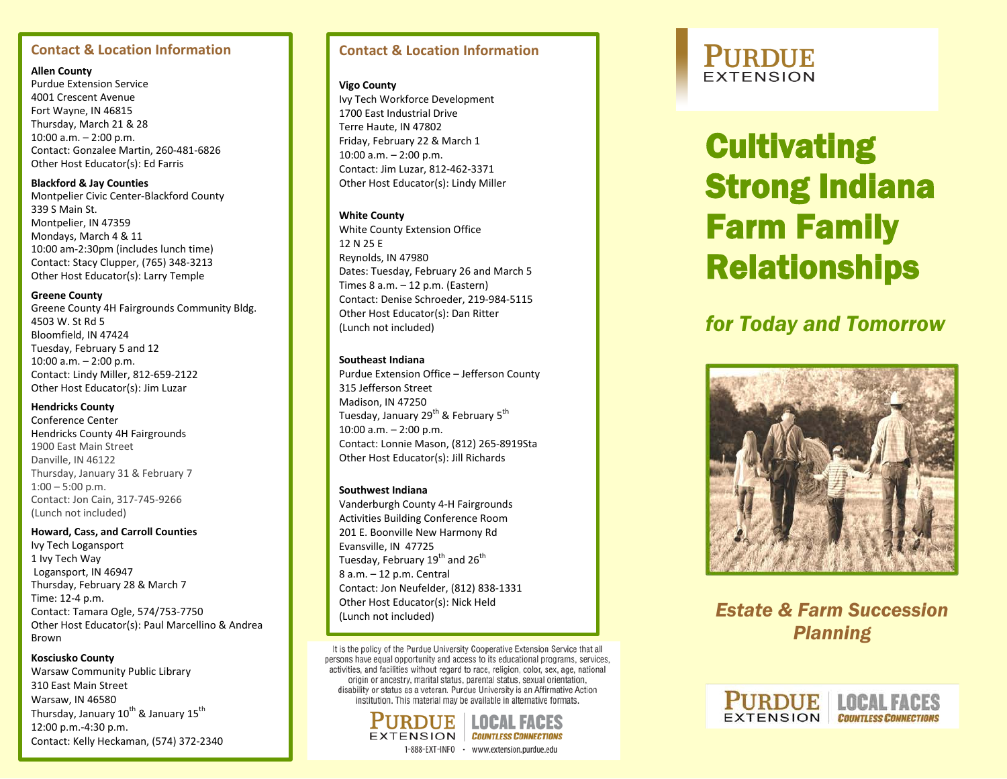### **Contact & Location Information**

### **Allen County**

Purdue Extension Service 4001 Crescent Avenue Fort Wayne, IN 46815 Thursday, March 21 & 28 10:00 a.m. – 2:00 p.m. Contact: Gonzalee Martin, 260 -481 -6826 Other Host Educator(s): Ed Farris

**Blackford & Jay Counties** Montpelier Civic Center -Blackford County 339 S Main St. Montpelier, IN 47359 Mondays, March 4 & 11 10:00 am -2:30pm (includes lunch time) Contact: Stacy Clupper, (765) 348 -3213 Other Host Educator(s): Larry Temple

#### **Greene County**

Greene County 4H Fairgrounds Community Bldg. 4503 W. St Rd 5 Bloomfield, IN 47424 Tuesday, February 5 and 12 10:00 a.m. – 2:00 p.m. Contact: Lindy Miller, 812 -659 -2122 Other Host Educator(s): Jim Luzar

### **Hendricks County**

Conference Center Hendricks County 4H Fairgrounds 1900 East Main Street Danville, IN 46122 Thursday, January 31 & February 7  $1:00 - 5:00$  p.m. Contact: Jon Cain, 317 -745 -9266 (Lunch not included)

#### **Howard, Cass, and Carroll Counties**

Ivy Tech Logansport 1 Ivy Tech Way Logansport, IN 46947 Thursday, February 28 & March 7 Time: 12 -4 p.m. Contact: Tamara Ogle, 574/753 -7750 Other Host Educator(s): Paul Marcellino & Andrea Brown

#### **Kosciusko County**

Warsaw Community Public Library 310 East Main Street Warsaw, IN 46580 Thursday, January 10<sup>th</sup> & January 15<sup>th</sup> 12:00 p.m. -4:30 p.m. Contact: Kelly Heckaman, (574) 372 -2340

### **Contact & Location Information**

#### **Vigo County**

Ivy Tech Workforce Development 1700 East Industrial Drive Terre Haute, IN 47802 Friday, February 22 & March 1 10:00 a.m. – 2:00 p.m. Contact: Jim Luzar, 812 -462 -3371 Other Host Educator(s): Lindy Miller

### **White County**

White County Extension Office 12 N 25 E Reynolds, IN 47980 Dates: Tuesday, February 26 and March 5 Times 8 a.m. – 12 p.m. (Eastern) Contact: Denise Schroeder, 219 -984 -5115 Other Host Educator(s): Dan Ritter (Lunch not included)

### **Southeast Indiana**

Purdue Extension Office – Jefferson County 315 Jefferson Street Madison, IN 47250 Tuesday, January 29<sup>th</sup> & February 5<sup>th</sup> 10:00 a.m. – 2:00 p.m. Contact: Lonnie Mason, (812) 265 -8919Sta Other Host Educator(s): Jill Richards

### **Southwest Indiana**

Vanderburgh County 4 -H Fairgrounds Activities Building Conference Room 201 E. Boonville New Harmony Rd Evansville, IN 47725 Tuesday, February 19<sup>th</sup> and 26<sup>th</sup> 8 a.m. – 12 p.m. Central Contact: Jon Neufelder, (812) 838 -1331 Other Host Educator(s): Nick Held (Lunch not included)

It is the policy of the Purdue University Cooperative Extension Service that all persons have equal opportunity and access to its educational programs, services, activities, and facilities without regard to race, religion, color, sex, age, national origin or ancestry, marital status, parental status, sexual orientation, disability or status as a veteran. Purdue University is an Affirmative Action institution. This material may be available in alternative formats.



### **PURDUE EXTENSION**

# **Cultivating** Strong Indiana Farm Family Relationships

## *for Today and Tomorrow*



*Estate & Farm Succession Planning*